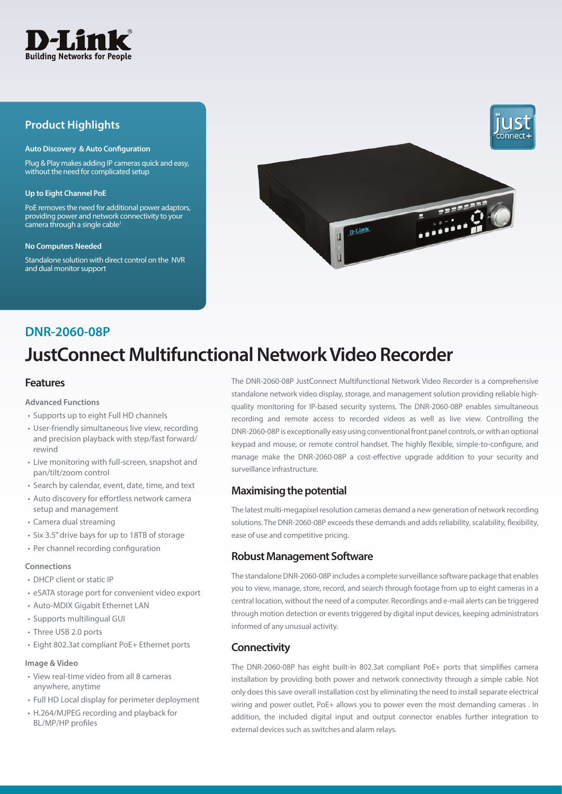

# **Product Highlights**

#### **Auto Discovery & Auto Configuration**

Plug & Play makes adding IP cameras quick and easy, without the need for complicated setup

#### **Up to Eight Channel PoE**

PoE removes the need for additional power adaptors, providing power and network connectivity to your  $c$ amera through a single cable<sup>1</sup>

#### **No Computers Needed**

Standalone solution with direct control on the NVR and dual monitor support



# **DNR-2060-08P**

# **JustConnect Multifunctional Network Video Recorder**

### **Features**

#### **Advanced Functions**

- Supports up to eight Full HD channels
- User-friendly simultaneous live view, recording and precision playback with step/fast forward/ rewind
- Live monitoring with full-screen, snapshot and pan/tilt/zoom control
- Search by calendar, event, date, time, and text
- Auto discovery for effortless network camera setup and management
- Camera dual streaming
- Six 3.5" drive bays for up to 18TB of storage
- Per channel recording configuration

#### **Connections**

- DHCP client or static IP
- eSATA storage port for convenient video export
- Auto-MDIX Gigabit Ethernet LAN
- Supports multilingual GUI
- Three USB 2.0 ports
- Eight 802.3at compliant PoE+ Ethernet ports

#### **Image & Video**

- View real-time video from all 8 cameras anywhere, anytime
- Full HD Local display for perimeter deployment
- H.264/MJPEG recording and playback for BL/MP/HP profiles

The DNR-2060-08P JustConnect Multifunctional Network Video Recorder is a comprehensive standalone network video display, storage, and management solution providing reliable highquality monitoring for IP-based security systems. The DNR-2060-08P enables simultaneous recording and remote access to recorded videos as well as live view. Controlling the DNR-2060-08P is exceptionally easy using conventional front panel controls, or with an optional keypad and mouse, or remote control handset. The highly flexible, simple-to-configure, and manage make the DNR-2060-08P a cost-effective upgrade addition to your security and surveillance infrastructure.

# **Maximising the potential**

The latest multi-megapixel resolution cameras demand a new generation of network recording solutions. The DNR-2060-08P exceeds these demands and adds reliability, scalability, flexibility, ease of use and competitive pricing.

### **Robust Management Software**

The standalone DNR-2060-08P includes a complete surveillance software package that enables you to view, manage, store, record, and search through footage from up to eight cameras in a central location, without the need of a computer. Recordings and e-mail alerts can be triggered through motion detection or events triggered by digital input devices, keeping administrators informed of any unusual activity.

# **Connectivity**

The DNR-2060-08P has eight built-in 802.3at compliant PoE+ ports that simplifies camera installation by providing both power and network connectivity through a simple cable. Not only does this save overall installation cost by eliminating the need to install separate electrical wiring and power outlet, PoE+ allows you to power even the most demanding cameras . In addition, the included digital input and output connector enables further integration to external devices such as switches and alarm relays.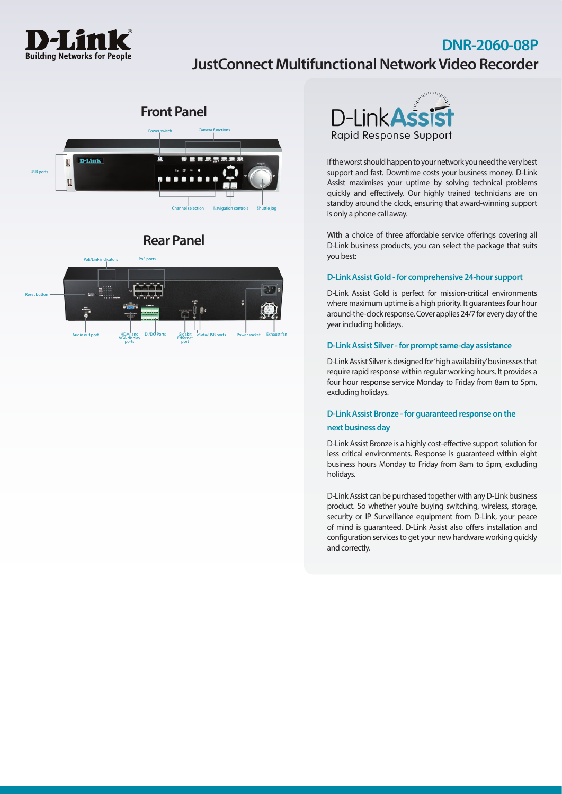

# **DNR-2060-08P JustConnect Multifunctional Network Video Recorder**



# **Rear Panel**





If the worst should happen to your network you need the very best support and fast. Downtime costs your business money. D-Link Assist maximises your uptime by solving technical problems quickly and effectively. Our highly trained technicians are on standby around the clock, ensuring that award-winning support is only a phone call away.

With a choice of three affordable service offerings covering all D-Link business products, you can select the package that suits you best:

#### **D-Link Assist Gold - for comprehensive 24-hour support**

D-Link Assist Gold is perfect for mission-critical environments where maximum uptime is a high priority. It guarantees four hour around-the-clock response. Cover applies 24/7 for every day of the year including holidays.

#### **D-Link Assist Silver - for prompt same-day assistance**

D-Link Assist Silver is designed for 'high availability' businesses that require rapid response within regular working hours. It provides a four hour response service Monday to Friday from 8am to 5pm, excluding holidays.

# **D-Link Assist Bronze - for guaranteed response on the**

# **next business day**

D-Link Assist Bronze is a highly cost-effective support solution for less critical environments. Response is guaranteed within eight business hours Monday to Friday from 8am to 5pm, excluding holidays.

D-Link Assist can be purchased together with any D-Link business product. So whether you're buying switching, wireless, storage, security or IP Surveillance equipment from D-Link, your peace of mind is guaranteed. D-Link Assist also offers installation and configuration services to get your new hardware working quickly and correctly.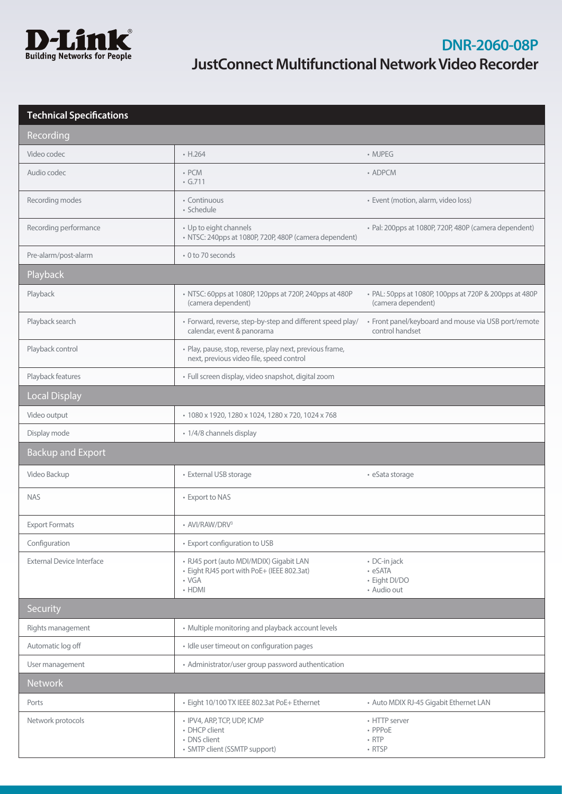

| Recording                        |                                                                                                                      |                                                                              |
|----------------------------------|----------------------------------------------------------------------------------------------------------------------|------------------------------------------------------------------------------|
| Video codec                      | $\cdot$ H.264                                                                                                        | • MJPEG                                                                      |
| Audio codec                      | $\cdot$ PCM<br>$\cdot$ G.711                                                                                         | • ADPCM                                                                      |
| Recording modes                  | • Continuous<br>· Schedule                                                                                           | · Event (motion, alarm, video loss)                                          |
| Recording performance            | • Up to eight channels<br>· NTSC: 240pps at 1080P, 720P, 480P (camera dependent)                                     | · Pal: 200pps at 1080P, 720P, 480P (camera dependent)                        |
| Pre-alarm/post-alarm             | • 0 to 70 seconds                                                                                                    |                                                                              |
| Playback                         |                                                                                                                      |                                                                              |
| Playback                         | • NTSC: 60pps at 1080P, 120pps at 720P, 240pps at 480P<br>(camera dependent)                                         | • PAL: 50pps at 1080P, 100pps at 720P & 200pps at 480P<br>(camera dependent) |
| Playback search                  | • Forward, reverse, step-by-step and different speed play/<br>calendar, event & panorama                             | • Front panel/keyboard and mouse via USB port/remote<br>control handset      |
| Playback control                 | · Play, pause, stop, reverse, play next, previous frame,<br>next, previous video file, speed control                 |                                                                              |
| Playback features                | · Full screen display, video snapshot, digital zoom                                                                  |                                                                              |
| <b>Local Display</b>             |                                                                                                                      |                                                                              |
| Video output                     | * 1080 x 1920, 1280 x 1024, 1280 x 720, 1024 x 768                                                                   |                                                                              |
| Display mode                     | · 1/4/8 channels display                                                                                             |                                                                              |
| <b>Backup and Export</b>         |                                                                                                                      |                                                                              |
| Video Backup                     | • External USB storage                                                                                               | • eSata storage                                                              |
| <b>NAS</b>                       | • Export to NAS                                                                                                      |                                                                              |
| <b>Export Formats</b>            | • AVI/RAW/DRV3                                                                                                       |                                                                              |
| Configuration                    | • Export configuration to USB                                                                                        |                                                                              |
| <b>External Device Interface</b> | · RJ45 port (auto MDI/MDIX) Gigabit LAN<br>· Eight RJ45 port with PoE+ (IEEE 802.3at)<br>$\cdot$ VGA<br>$\cdot$ HDMI | • DC-in jack<br>• eSATA<br>· Eight DI/DO<br>• Audio out                      |
| <b>Security</b>                  |                                                                                                                      |                                                                              |
| Rights management                | • Multiple monitoring and playback account levels                                                                    |                                                                              |
| Automatic log off                | · Idle user timeout on configuration pages                                                                           |                                                                              |
| User management                  | • Administrator/user group password authentication                                                                   |                                                                              |
| <b>Network</b>                   |                                                                                                                      |                                                                              |
| Ports                            | · Eight 10/100 TX IEEE 802.3at PoE+ Ethernet                                                                         | • Auto MDIX RJ-45 Gigabit Ethernet LAN                                       |
| Network protocols                | · IPV4, ARP, TCP, UDP, ICMP<br>• DHCP client<br>• DNS client<br>• SMTP client (SSMTP support)                        | • HTTP server<br>• PPPoE<br>$\cdot$ RTP<br>• RTSP                            |